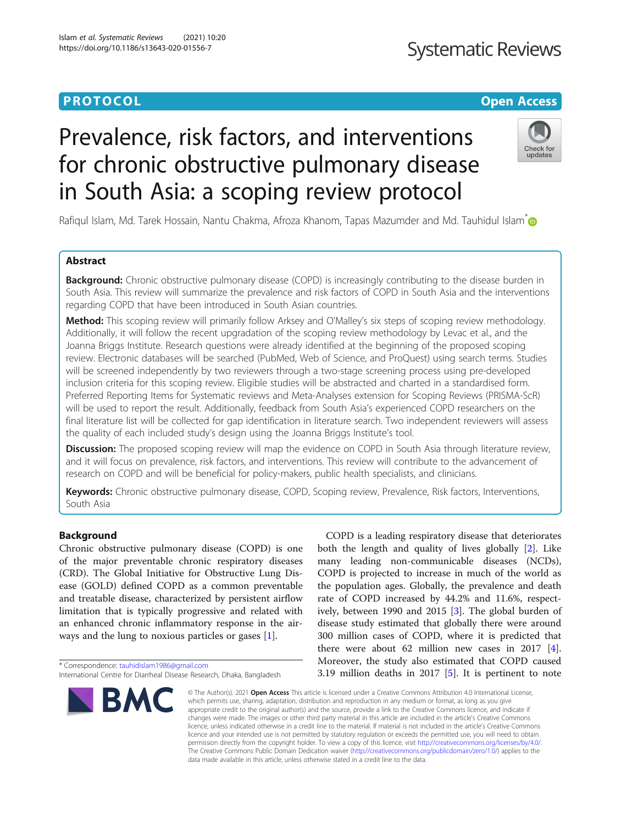### **PROTOCOL CONSUMING THE OPEN ACCESS**

## **Systematic Reviews**

# Prevalence, risk factors, and interventions for chronic obstructive pulmonary disease in South Asia: a scoping review protocol



Rafiqul Islam, Md. Tarek Hossain, Nantu Chakma, Afroza Khanom, Tapas Mazumder and Md. Tauhidul Islam<sup>[\\*](http://orcid.org/0000-0002-0738-820X)</sup>

#### Abstract

**Background:** Chronic obstructive pulmonary disease (COPD) is increasingly contributing to the disease burden in South Asia. This review will summarize the prevalence and risk factors of COPD in South Asia and the interventions regarding COPD that have been introduced in South Asian countries.

Method: This scoping review will primarily follow Arksey and O'Malley's six steps of scoping review methodology. Additionally, it will follow the recent upgradation of the scoping review methodology by Levac et al., and the Joanna Briggs Institute. Research questions were already identified at the beginning of the proposed scoping review. Electronic databases will be searched (PubMed, Web of Science, and ProQuest) using search terms. Studies will be screened independently by two reviewers through a two-stage screening process using pre-developed inclusion criteria for this scoping review. Eligible studies will be abstracted and charted in a standardised form. Preferred Reporting Items for Systematic reviews and Meta-Analyses extension for Scoping Reviews (PRISMA-ScR) will be used to report the result. Additionally, feedback from South Asia's experienced COPD researchers on the final literature list will be collected for gap identification in literature search. Two independent reviewers will assess the quality of each included study's design using the Joanna Briggs Institute's tool.

Discussion: The proposed scoping review will map the evidence on COPD in South Asia through literature review, and it will focus on prevalence, risk factors, and interventions. This review will contribute to the advancement of research on COPD and will be beneficial for policy-makers, public health specialists, and clinicians.

Keywords: Chronic obstructive pulmonary disease, COPD, Scoping review, Prevalence, Risk factors, Interventions, South Asia

#### Background

Chronic obstructive pulmonary disease (COPD) is one of the major preventable chronic respiratory diseases (CRD). The Global Initiative for Obstructive Lung Disease (GOLD) defined COPD as a common preventable and treatable disease, characterized by persistent airflow limitation that is typically progressive and related with an enhanced chronic inflammatory response in the airways and the lung to noxious particles or gases [\[1\]](#page-5-0).

\* Correspondence: [tauhidislam1986@gmail.com](mailto:tauhidislam1986@gmail.com)

International Centre for Diarrheal Disease Research, Dhaka, Bangladesh



COPD is a leading respiratory disease that deteriorates both the length and quality of lives globally [[2\]](#page-5-0). Like many leading non-communicable diseases (NCDs), COPD is projected to increase in much of the world as the population ages. Globally, the prevalence and death rate of COPD increased by 44.2% and 11.6%, respectively, between 1990 and 2015 [\[3](#page-5-0)]. The global burden of disease study estimated that globally there were around 300 million cases of COPD, where it is predicted that there were about 62 million new cases in 2017 [\[4](#page-6-0)]. Moreover, the study also estimated that COPD caused 3.19 million deaths in 2017 [[5\]](#page-6-0). It is pertinent to note

© The Author(s), 2021 **Open Access** This article is licensed under a Creative Commons Attribution 4.0 International License, which permits use, sharing, adaptation, distribution and reproduction in any medium or format, as long as you give appropriate credit to the original author(s) and the source, provide a link to the Creative Commons licence, and indicate if changes were made. The images or other third party material in this article are included in the article's Creative Commons licence, unless indicated otherwise in a credit line to the material. If material is not included in the article's Creative Commons licence and your intended use is not permitted by statutory regulation or exceeds the permitted use, you will need to obtain permission directly from the copyright holder. To view a copy of this licence, visit [http://creativecommons.org/licenses/by/4.0/.](http://creativecommons.org/licenses/by/4.0/) The Creative Commons Public Domain Dedication waiver [\(http://creativecommons.org/publicdomain/zero/1.0/](http://creativecommons.org/publicdomain/zero/1.0/)) applies to the data made available in this article, unless otherwise stated in a credit line to the data.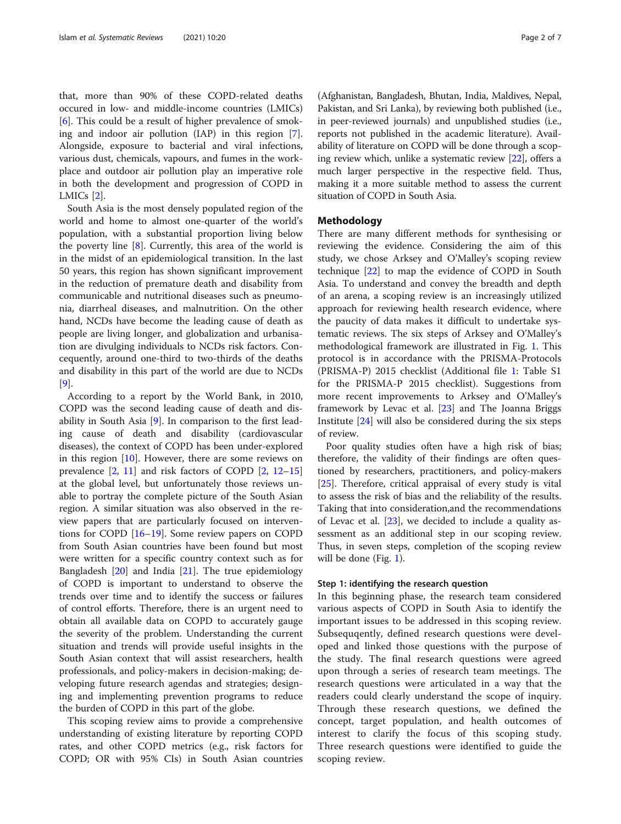that, more than 90% of these COPD-related deaths occured in low- and middle-income countries (LMICs) [[6\]](#page-6-0). This could be a result of higher prevalence of smoking and indoor air pollution (IAP) in this region [\[7](#page-6-0)]. Alongside, exposure to bacterial and viral infections, various dust, chemicals, vapours, and fumes in the workplace and outdoor air pollution play an imperative role in both the development and progression of COPD in LMICs [\[2](#page-5-0)].

South Asia is the most densely populated region of the world and home to almost one-quarter of the world's population, with a substantial proportion living below the poverty line [[8\]](#page-6-0). Currently, this area of the world is in the midst of an epidemiological transition. In the last 50 years, this region has shown significant improvement in the reduction of premature death and disability from communicable and nutritional diseases such as pneumonia, diarrheal diseases, and malnutrition. On the other hand, NCDs have become the leading cause of death as people are living longer, and globalization and urbanisation are divulging individuals to NCDs risk factors. Concequently, around one-third to two-thirds of the deaths and disability in this part of the world are due to NCDs [[9\]](#page-6-0).

According to a report by the World Bank, in 2010, COPD was the second leading cause of death and disability in South Asia [\[9\]](#page-6-0). In comparison to the first leading cause of death and disability (cardiovascular diseases), the context of COPD has been under-explored in this region  $[10]$  $[10]$ . However, there are some reviews on prevalence [\[2](#page-5-0), [11](#page-6-0)] and risk factors of COPD [[2,](#page-5-0) [12](#page-6-0)–[15](#page-6-0)] at the global level, but unfortunately those reviews unable to portray the complete picture of the South Asian region. A similar situation was also observed in the review papers that are particularly focused on interventions for COPD [[16](#page-6-0)–[19\]](#page-6-0). Some review papers on COPD from South Asian countries have been found but most were written for a specific country context such as for Bangladesh  $[20]$  $[20]$  and India  $[21]$  $[21]$ . The true epidemiology of COPD is important to understand to observe the trends over time and to identify the success or failures of control efforts. Therefore, there is an urgent need to obtain all available data on COPD to accurately gauge the severity of the problem. Understanding the current situation and trends will provide useful insights in the South Asian context that will assist researchers, health professionals, and policy-makers in decision-making; developing future research agendas and strategies; designing and implementing prevention programs to reduce the burden of COPD in this part of the globe.

This scoping review aims to provide a comprehensive understanding of existing literature by reporting COPD rates, and other COPD metrics (e.g., risk factors for COPD; OR with 95% CIs) in South Asian countries

(Afghanistan, Bangladesh, Bhutan, India, Maldives, Nepal, Pakistan, and Sri Lanka), by reviewing both published (i.e., in peer-reviewed journals) and unpublished studies (i.e., reports not published in the academic literature). Availability of literature on COPD will be done through a scoping review which, unlike a systematic review [[22](#page-6-0)], offers a much larger perspective in the respective field. Thus, making it a more suitable method to assess the current situation of COPD in South Asia.

#### Methodology

There are many different methods for synthesising or reviewing the evidence. Considering the aim of this study, we chose Arksey and O'Malley's scoping review technique [\[22\]](#page-6-0) to map the evidence of COPD in South Asia. To understand and convey the breadth and depth of an arena, a scoping review is an increasingly utilized approach for reviewing health research evidence, where the paucity of data makes it difficult to undertake systematic reviews. The six steps of Arksey and O'Malley's methodological framework are illustrated in Fig. [1.](#page-2-0) This protocol is in accordance with the PRISMA-Protocols (PRISMA-P) 2015 checklist (Additional file [1](#page-5-0): Table S1 for the PRISMA-P 2015 checklist). Suggestions from more recent improvements to Arksey and O'Malley's framework by Levac et al. [\[23](#page-6-0)] and The Joanna Briggs Institute [\[24](#page-6-0)] will also be considered during the six steps of review.

Poor quality studies often have a high risk of bias; therefore, the validity of their findings are often questioned by researchers, practitioners, and policy-makers [[25\]](#page-6-0). Therefore, critical appraisal of every study is vital to assess the risk of bias and the reliability of the results. Taking that into consideration,and the recommendations of Levac et al. [\[23](#page-6-0)], we decided to include a quality assessment as an additional step in our scoping review. Thus, in seven steps, completion of the scoping review will be done (Fig. [1](#page-2-0)).

#### Step 1: identifying the research question

In this beginning phase, the research team considered various aspects of COPD in South Asia to identify the important issues to be addressed in this scoping review. Subsequqently, defined research questions were developed and linked those questions with the purpose of the study. The final research questions were agreed upon through a series of research team meetings. The research questions were articulated in a way that the readers could clearly understand the scope of inquiry. Through these research questions, we defined the concept, target population, and health outcomes of interest to clarify the focus of this scoping study. Three research questions were identified to guide the scoping review.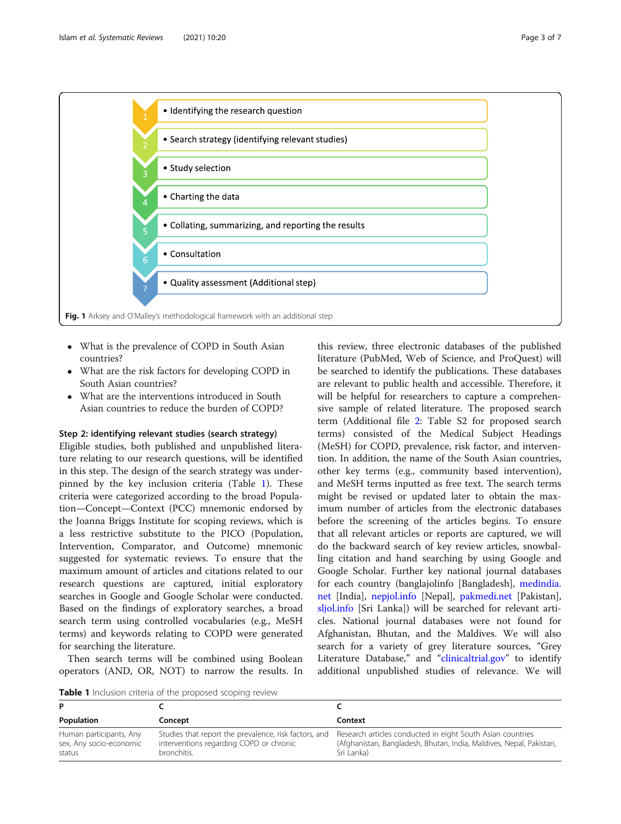<span id="page-2-0"></span>

- What is the prevalence of COPD in South Asian countries?
- What are the risk factors for developing COPD in South Asian countries?
- What are the interventions introduced in South Asian countries to reduce the burden of COPD?

#### Step 2: identifying relevant studies (search strategy)

Eligible studies, both published and unpublished literature relating to our research questions, will be identified in this step. The design of the search strategy was underpinned by the key inclusion criteria (Table 1). These criteria were categorized according to the broad Population—Concept—Context (PCC) mnemonic endorsed by the Joanna Briggs Institute for scoping reviews, which is a less restrictive substitute to the PICO (Population, Intervention, Comparator, and Outcome) mnemonic suggested for systematic reviews. To ensure that the maximum amount of articles and citations related to our research questions are captured, initial exploratory searches in Google and Google Scholar were conducted. Based on the findings of exploratory searches, a broad search term using controlled vocabularies (e.g., MeSH terms) and keywords relating to COPD were generated for searching the literature.

Then search terms will be combined using Boolean operators (AND, OR, NOT) to narrow the results. In

this review, three electronic databases of the published literature (PubMed, Web of Science, and ProQuest) will be searched to identify the publications. These databases are relevant to public health and accessible. Therefore, it will be helpful for researchers to capture a comprehensive sample of related literature. The proposed search term (Additional file [2:](#page-5-0) Table S2 for proposed search terms) consisted of the Medical Subject Headings (MeSH) for COPD, prevalence, risk factor, and intervention. In addition, the name of the South Asian countries, other key terms (e.g., community based intervention), and MeSH terms inputted as free text. The search terms might be revised or updated later to obtain the maximum number of articles from the electronic databases before the screening of the articles begins. To ensure that all relevant articles or reports are captured, we will do the backward search of key review articles, snowballing citation and hand searching by using Google and Google Scholar. Further key national journal databases for each country (banglajolinfo [Bangladesh], [medindia.](http://medindia.net) [net](http://medindia.net) [India], [nepjol.info](http://nepjol.info) [Nepal], [pakmedi.net](http://pakmedi.net) [Pakistan], [sljol.info](http://sljol.info) [Sri Lanka]) will be searched for relevant articles. National journal databases were not found for Afghanistan, Bhutan, and the Maldives. We will also search for a variety of grey literature sources, "Grey Literature Database," and "[clinicaltrial.gov](http://clinicaltrial.gov)" to identify additional unpublished studies of relevance. We will

Table 1 Inclusion criteria of the proposed scoping review

| Population                                                   | Concept                                                                                                         | Context                                                                                                                                         |
|--------------------------------------------------------------|-----------------------------------------------------------------------------------------------------------------|-------------------------------------------------------------------------------------------------------------------------------------------------|
| Human participants, Any<br>sex, Any socio-economic<br>status | Studies that report the prevalence, risk factors, and<br>interventions regarding COPD or chronic<br>bronchitis. | Research articles conducted in eight South Asian countries<br>(Afghanistan, Bangladesh, Bhutan, India, Maldives, Nepal, Pakistan,<br>Sri Lanka) |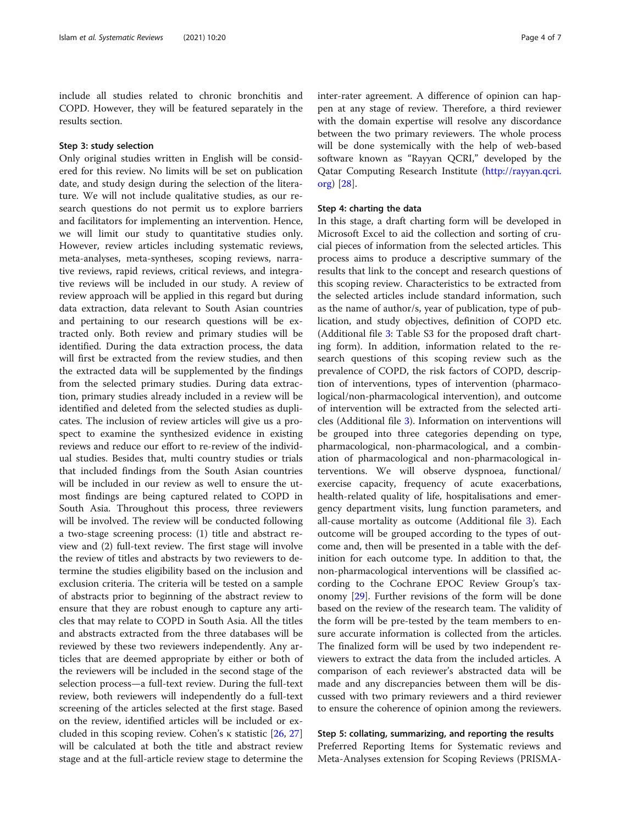include all studies related to chronic bronchitis and COPD. However, they will be featured separately in the results section.

#### Step 3: study selection

Only original studies written in English will be considered for this review. No limits will be set on publication date, and study design during the selection of the literature. We will not include qualitative studies, as our research questions do not permit us to explore barriers and facilitators for implementing an intervention. Hence, we will limit our study to quantitative studies only. However, review articles including systematic reviews, meta-analyses, meta-syntheses, scoping reviews, narrative reviews, rapid reviews, critical reviews, and integrative reviews will be included in our study. A review of review approach will be applied in this regard but during data extraction, data relevant to South Asian countries and pertaining to our research questions will be extracted only. Both review and primary studies will be identified. During the data extraction process, the data will first be extracted from the review studies, and then the extracted data will be supplemented by the findings from the selected primary studies. During data extraction, primary studies already included in a review will be identified and deleted from the selected studies as duplicates. The inclusion of review articles will give us a prospect to examine the synthesized evidence in existing reviews and reduce our effort to re-review of the individual studies. Besides that, multi country studies or trials that included findings from the South Asian countries will be included in our review as well to ensure the utmost findings are being captured related to COPD in South Asia. Throughout this process, three reviewers will be involved. The review will be conducted following a two-stage screening process: (1) title and abstract review and (2) full-text review. The first stage will involve the review of titles and abstracts by two reviewers to determine the studies eligibility based on the inclusion and exclusion criteria. The criteria will be tested on a sample of abstracts prior to beginning of the abstract review to ensure that they are robust enough to capture any articles that may relate to COPD in South Asia. All the titles and abstracts extracted from the three databases will be reviewed by these two reviewers independently. Any articles that are deemed appropriate by either or both of the reviewers will be included in the second stage of the selection process—a full-text review. During the full-text review, both reviewers will independently do a full-text screening of the articles selected at the first stage. Based on the review, identified articles will be included or excluded in this scoping review. Cohen's κ statistic [[26](#page-6-0), [27](#page-6-0)] will be calculated at both the title and abstract review stage and at the full-article review stage to determine the inter-rater agreement. A difference of opinion can happen at any stage of review. Therefore, a third reviewer with the domain expertise will resolve any discordance between the two primary reviewers. The whole process will be done systemically with the help of web-based software known as "Rayyan QCRI," developed by the Qatar Computing Research Institute ([http://rayyan.qcri.](http://rayyan.qcri.org) [org](http://rayyan.qcri.org)) [[28](#page-6-0)].

#### Step 4: charting the data

In this stage, a draft charting form will be developed in Microsoft Excel to aid the collection and sorting of crucial pieces of information from the selected articles. This process aims to produce a descriptive summary of the results that link to the concept and research questions of this scoping review. Characteristics to be extracted from the selected articles include standard information, such as the name of author/s, year of publication, type of publication, and study objectives, definition of COPD etc. (Additional file [3:](#page-5-0) Table S3 for the proposed draft charting form). In addition, information related to the research questions of this scoping review such as the prevalence of COPD, the risk factors of COPD, description of interventions, types of intervention (pharmacological/non-pharmacological intervention), and outcome of intervention will be extracted from the selected articles (Additional file [3\)](#page-5-0). Information on interventions will be grouped into three categories depending on type, pharmacological, non-pharmacological, and a combination of pharmacological and non-pharmacological interventions. We will observe dyspnoea, functional/ exercise capacity, frequency of acute exacerbations, health-related quality of life, hospitalisations and emergency department visits, lung function parameters, and all-cause mortality as outcome (Additional file [3](#page-5-0)). Each outcome will be grouped according to the types of outcome and, then will be presented in a table with the definition for each outcome type. In addition to that, the non-pharmacological interventions will be classified according to the Cochrane EPOC Review Group's taxonomy [\[29\]](#page-6-0). Further revisions of the form will be done based on the review of the research team. The validity of the form will be pre-tested by the team members to ensure accurate information is collected from the articles. The finalized form will be used by two independent reviewers to extract the data from the included articles. A comparison of each reviewer's abstracted data will be made and any discrepancies between them will be discussed with two primary reviewers and a third reviewer to ensure the coherence of opinion among the reviewers.

#### Step 5: collating, summarizing, and reporting the results

Preferred Reporting Items for Systematic reviews and Meta-Analyses extension for Scoping Reviews (PRISMA-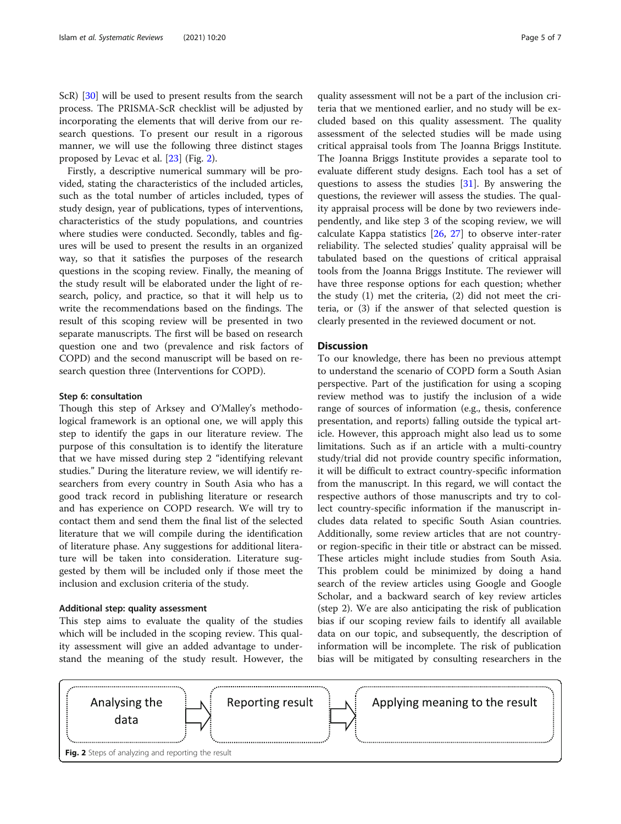ScR) [[30\]](#page-6-0) will be used to present results from the search process. The PRISMA-ScR checklist will be adjusted by incorporating the elements that will derive from our research questions. To present our result in a rigorous manner, we will use the following three distinct stages proposed by Levac et al. [[23](#page-6-0)] (Fig. 2).

Firstly, a descriptive numerical summary will be provided, stating the characteristics of the included articles, such as the total number of articles included, types of study design, year of publications, types of interventions, characteristics of the study populations, and countries where studies were conducted. Secondly, tables and figures will be used to present the results in an organized way, so that it satisfies the purposes of the research questions in the scoping review. Finally, the meaning of the study result will be elaborated under the light of research, policy, and practice, so that it will help us to write the recommendations based on the findings. The result of this scoping review will be presented in two separate manuscripts. The first will be based on research question one and two (prevalence and risk factors of COPD) and the second manuscript will be based on research question three (Interventions for COPD).

#### Step 6: consultation

Though this step of Arksey and O'Malley's methodological framework is an optional one, we will apply this step to identify the gaps in our literature review. The purpose of this consultation is to identify the literature that we have missed during step 2 "identifying relevant studies." During the literature review, we will identify researchers from every country in South Asia who has a good track record in publishing literature or research and has experience on COPD research. We will try to contact them and send them the final list of the selected literature that we will compile during the identification of literature phase. Any suggestions for additional literature will be taken into consideration. Literature suggested by them will be included only if those meet the inclusion and exclusion criteria of the study.

#### Additional step: quality assessment

This step aims to evaluate the quality of the studies which will be included in the scoping review. This quality assessment will give an added advantage to understand the meaning of the study result. However, the

quality assessment will not be a part of the inclusion criteria that we mentioned earlier, and no study will be excluded based on this quality assessment. The quality assessment of the selected studies will be made using critical appraisal tools from The Joanna Briggs Institute. The Joanna Briggs Institute provides a separate tool to evaluate different study designs. Each tool has a set of questions to assess the studies  $[31]$  $[31]$ . By answering the questions, the reviewer will assess the studies. The quality appraisal process will be done by two reviewers independently, and like step 3 of the scoping review, we will calculate Kappa statistics  $[26, 27]$  $[26, 27]$  $[26, 27]$  to observe inter-rater reliability. The selected studies' quality appraisal will be tabulated based on the questions of critical appraisal tools from the Joanna Briggs Institute. The reviewer will have three response options for each question; whether the study (1) met the criteria, (2) did not meet the criteria, or (3) if the answer of that selected question is clearly presented in the reviewed document or not.

#### **Discussion**

To our knowledge, there has been no previous attempt to understand the scenario of COPD form a South Asian perspective. Part of the justification for using a scoping review method was to justify the inclusion of a wide range of sources of information (e.g., thesis, conference presentation, and reports) falling outside the typical article. However, this approach might also lead us to some limitations. Such as if an article with a multi-country study/trial did not provide country specific information, it will be difficult to extract country-specific information from the manuscript. In this regard, we will contact the respective authors of those manuscripts and try to collect country-specific information if the manuscript includes data related to specific South Asian countries. Additionally, some review articles that are not countryor region-specific in their title or abstract can be missed. These articles might include studies from South Asia. This problem could be minimized by doing a hand search of the review articles using Google and Google Scholar, and a backward search of key review articles (step 2). We are also anticipating the risk of publication bias if our scoping review fails to identify all available data on our topic, and subsequently, the description of information will be incomplete. The risk of publication bias will be mitigated by consulting researchers in the

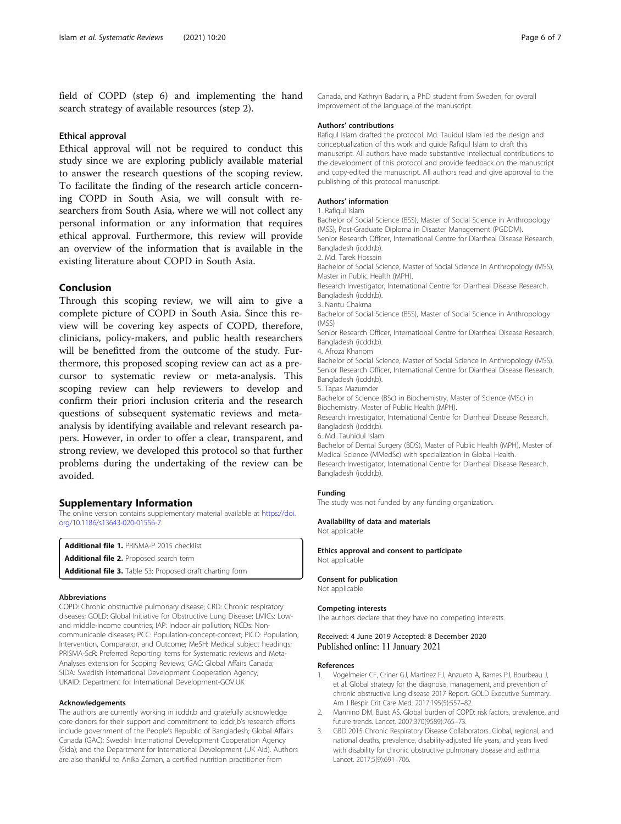<span id="page-5-0"></span>field of COPD (step 6) and implementing the hand search strategy of available resources (step 2).

#### Ethical approval

Ethical approval will not be required to conduct this study since we are exploring publicly available material to answer the research questions of the scoping review. To facilitate the finding of the research article concerning COPD in South Asia, we will consult with researchers from South Asia, where we will not collect any personal information or any information that requires ethical approval. Furthermore, this review will provide an overview of the information that is available in the existing literature about COPD in South Asia.

#### Conclusion

Through this scoping review, we will aim to give a complete picture of COPD in South Asia. Since this review will be covering key aspects of COPD, therefore, clinicians, policy-makers, and public health researchers will be benefitted from the outcome of the study. Furthermore, this proposed scoping review can act as a precursor to systematic review or meta-analysis. This scoping review can help reviewers to develop and confirm their priori inclusion criteria and the research questions of subsequent systematic reviews and metaanalysis by identifying available and relevant research papers. However, in order to offer a clear, transparent, and strong review, we developed this protocol so that further problems during the undertaking of the review can be avoided.

#### Supplementary Information

The online version contains supplementary material available at [https://doi.](https://doi.org/10.1186/s13643-020-01556-7) [org/10.1186/s13643-020-01556-7.](https://doi.org/10.1186/s13643-020-01556-7)

Additional file 1. PRISMA-P 2015 checklist

```
Additional file 2. Proposed search term
```
Additional file 3. Table S3: Proposed draft charting form

#### Abbreviations

COPD: Chronic obstructive pulmonary disease; CRD: Chronic respiratory diseases; GOLD: Global Initiative for Obstructive Lung Disease; LMICs: Lowand middle-income countries; IAP: Indoor air pollution; NCDs: Noncommunicable diseases; PCC: Population-concept-context; PICO: Population, Intervention, Comparator, and Outcome; MeSH: Medical subject headings; PRISMA-ScR: Preferred Reporting Items for Systematic reviews and Meta-Analyses extension for Scoping Reviews; GAC: Global Affairs Canada; SIDA: Swedish International Development Cooperation Agency; UKAID: Department for International Development-GOV.UK

#### Acknowledgements

The authors are currently working in icddr,b and gratefully acknowledge core donors for their support and commitment to icddr,b's research efforts include government of the People's Republic of Bangladesh; Global Affairs Canada (GAC); Swedish International Development Cooperation Agency (Sida); and the Department for International Development (UK Aid). Authors are also thankful to Anika Zaman, a certified nutrition practitioner from

Canada, and Kathryn Badarin, a PhD student from Sweden, for overall improvement of the language of the manuscript.

#### Authors' contributions

Rafiqul Islam drafted the protocol. Md. Tauidul Islam led the design and conceptualization of this work and guide Rafiqul Islam to draft this manuscript. All authors have made substantive intellectual contributions to the development of this protocol and provide feedback on the manuscript and copy-edited the manuscript. All authors read and give approval to the publishing of this protocol manuscript.

#### Authors' information

1. Rafiqul Islam

Bachelor of Social Science (BSS), Master of Social Science in Anthropology (MSS), Post-Graduate Diploma in Disaster Management (PGDDM). Senior Research Officer, International Centre for Diarrheal Disease Research, Bangladesh (icddr,b).

2. Md. Tarek Hossain

Bachelor of Social Science, Master of Social Science in Anthropology (MSS), Master in Public Health (MPH).

Research Investigator, International Centre for Diarrheal Disease Research, Bangladesh (icddr,b).

3. Nantu Chakma

Bachelor of Social Science (BSS), Master of Social Science in Anthropology (MSS)

Senior Research Officer, International Centre for Diarrheal Disease Research, Bangladesh (icddr,b).

4. Afroza Khanom

Bachelor of Social Science, Master of Social Science in Anthropology (MSS). Senior Research Officer, International Centre for Diarrheal Disease Research, Bangladesh (icddr,b).

5. Tapas Mazumder

Bachelor of Science (BSc) in Biochemistry, Master of Science (MSc) in Biochemistry, Master of Public Health (MPH).

Research Investigator, International Centre for Diarrheal Disease Research, Bangladesh (icddr,b).

6. Md. Tauhidul Islam

Bachelor of Dental Surgery (BDS), Master of Public Health (MPH), Master of Medical Science (MMedSc) with specialization in Global Health. Research Investigator, International Centre for Diarrheal Disease Research, Bangladesh (icddr,b).

#### Funding

The study was not funded by any funding organization.

#### Availability of data and materials

Not applicable

Ethics approval and consent to participate Not applicable

#### Consent for publication

Not applicable

#### Competing interests

The authors declare that they have no competing interests.

#### Received: 4 June 2019 Accepted: 8 December 2020 Published online: 11 January 2021

#### References

- 1. Vogelmeier CF, Criner GJ, Martinez FJ, Anzueto A, Barnes PJ, Bourbeau J, et al. Global strategy for the diagnosis, management, and prevention of chronic obstructive lung disease 2017 Report. GOLD Executive Summary. Am J Respir Crit Care Med. 2017;195(5):557–82.
- 2. Mannino DM, Buist AS. Global burden of COPD: risk factors, prevalence, and future trends. Lancet. 2007;370(9589):765–73.
- 3. GBD 2015 Chronic Respiratory Disease Collaborators. Global, regional, and national deaths, prevalence, disability-adjusted life years, and years lived with disability for chronic obstructive pulmonary disease and asthma. Lancet. 2017;5(9):691–706.